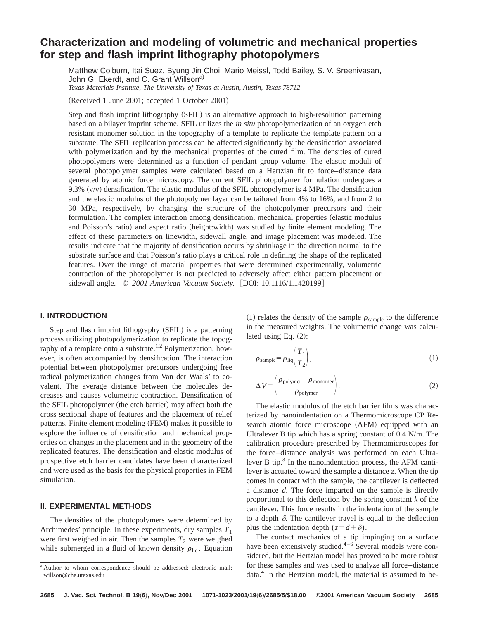# **Characterization and modeling of volumetric and mechanical properties for step and flash imprint lithography photopolymers**

Matthew Colburn, Itai Suez, Byung Jin Choi, Mario Meissl, Todd Bailey, S. V. Sreenivasan, John G. Ekerdt, and C. Grant Willson<sup>a)</sup> *Texas Materials Institute, The University of Texas at Austin, Austin, Texas 78712*

 $(Received 1 June 2001; accepted 1 October 2001)$ 

Step and flash imprint lithography (SFIL) is an alternative approach to high-resolution patterning based on a bilayer imprint scheme. SFIL utilizes the *in situ* photopolymerization of an oxygen etch resistant monomer solution in the topography of a template to replicate the template pattern on a substrate. The SFIL replication process can be affected significantly by the densification associated with polymerization and by the mechanical properties of the cured film. The densities of cured photopolymers were determined as a function of pendant group volume. The elastic moduli of several photopolymer samples were calculated based on a Hertzian fit to force–distance data generated by atomic force microscopy. The current SFIL photopolymer formulation undergoes a 9.3%  $(v/v)$  densification. The elastic modulus of the SFIL photopolymer is 4 MPa. The densification and the elastic modulus of the photopolymer layer can be tailored from 4% to 16%, and from 2 to 30 MPa, respectively, by changing the structure of the photopolymer precursors and their formulation. The complex interaction among densification, mechanical properties (elastic modulus and Poisson's ratio) and aspect ratio (height:width) was studied by finite element modeling. The effect of these parameters on linewidth, sidewall angle, and image placement was modeled. The results indicate that the majority of densification occurs by shrinkage in the direction normal to the substrate surface and that Poisson's ratio plays a critical role in defining the shape of the replicated features. Over the range of material properties that were determined experimentally, volumetric contraction of the photopolymer is not predicted to adversely affect either pattern placement or sidewall angle. © 2001 American Vacuum Society. [DOI: 10.1116/1.1420199]

## **I. INTRODUCTION**

Step and flash imprint lithography (SFIL) is a patterning process utilizing photopolymerization to replicate the topography of a template onto a substrate.<sup>1,2</sup> Polymerization, however, is often accompanied by densification. The interaction potential between photopolymer precursors undergoing free radical polymerization changes from Van der Waals' to covalent. The average distance between the molecules decreases and causes volumetric contraction. Densification of the SFIL photopolymer (the etch barrier) may affect both the cross sectional shape of features and the placement of relief patterns. Finite element modeling (FEM) makes it possible to explore the influence of densification and mechanical properties on changes in the placement and in the geometry of the replicated features. The densification and elastic modulus of prospective etch barrier candidates have been characterized and were used as the basis for the physical properties in FEM simulation.

### **II. EXPERIMENTAL METHODS**

The densities of the photopolymers were determined by Archimedes' principle. In these experiments, dry samples  $T_1$ were first weighed in air. Then the samples  $T_2$  were weighed while submerged in a fluid of known density  $\rho_{\text{liq}}$ . Equation (1) relates the density of the sample  $\rho_{\text{sample}}$  to the difference in the measured weights. The volumetric change was calculated using Eq.  $(2)$ :

$$
\rho_{\text{sample}} = \rho_{\text{liq}} \left( \frac{T_1}{T_2} \right),\tag{1}
$$

$$
\Delta V = \left(\frac{\rho_{\text{polymer}} - \rho_{\text{monomer}}}{\rho_{\text{polymer}}}\right). \tag{2}
$$

The elastic modulus of the etch barrier films was characterized by nanoindentation on a Thermomicroscope CP Research atomic force microscope (AFM) equipped with an Ultralever B tip which has a spring constant of 0.4 N/m. The calibration procedure prescribed by Thermomicroscopes for the force–distance analysis was performed on each Ultralever B tip. $3$  In the nanoindentation process, the AFM cantilever is actuated toward the sample a distance *z*. When the tip comes in contact with the sample, the cantilever is deflected a distance *d*. The force imparted on the sample is directly proportional to this deflection by the spring constant *k* of the cantilever. This force results in the indentation of the sample to a depth  $\delta$ . The cantilever travel is equal to the deflection plus the indentation depth  $(z=d+\delta)$ .

The contact mechanics of a tip impinging on a surface have been extensively studied. $4-6$  Several models were considered, but the Hertzian model has proved to be more robust for these samples and was used to analyze all force–distance data.<sup>4</sup> In the Hertzian model, the material is assumed to be-

a)Author to whom correspondence should be addressed; electronic mail: willson@che.utexas.edu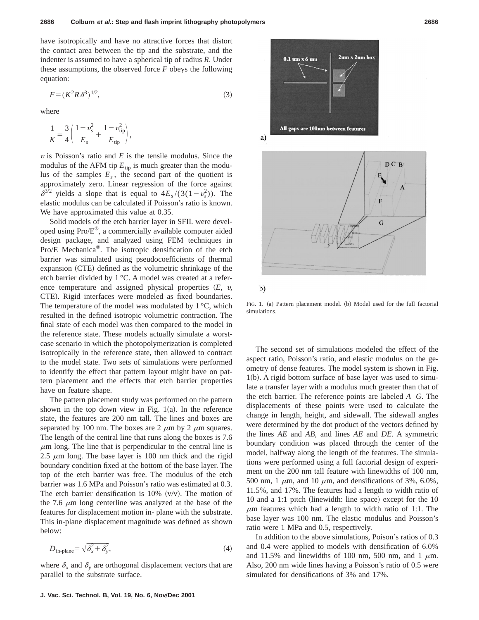have isotropically and have no attractive forces that distort the contact area between the tip and the substrate, and the indenter is assumed to have a spherical tip of radius *R*. Under these assumptions, the observed force *F* obeys the following equation:

$$
F = (K^2 R \,\delta^3)^{1/2},\tag{3}
$$

where

$$
\frac{1}{K} = \frac{3}{4} \left( \frac{1 - v_s^2}{E_s} + \frac{1 - v_{\text{tip}}^2}{E_{\text{tip}}} \right),\,
$$

 $\nu$  is Poisson's ratio and  $E$  is the tensile modulus. Since the modulus of the AFM tip  $E_{\text{tip}}$  is much greater than the modulus of the samples  $E_s$ , the second part of the quotient is approximately zero. Linear regression of the force against  $\delta^{3/2}$  yields a slope that is equal to  $4E_s/(3(1-v_s^2))$ . The elastic modulus can be calculated if Poisson's ratio is known. We have approximated this value at 0.35.

Solid models of the etch barrier layer in SFIL were developed using Pro/E®, a commercially available computer aided design package, and analyzed using FEM techniques in Pro/E Mechanica®. The isotropic densification of the etch barrier was simulated using pseudocoefficients of thermal expansion (CTE) defined as the volumetric shrinkage of the etch barrier divided by 1 °C. A model was created at a reference temperature and assigned physical properties  $(E, v,$ CTE). Rigid interfaces were modeled as fixed boundaries. The temperature of the model was modulated by  $1^{\circ}C$ , which resulted in the defined isotropic volumetric contraction. The final state of each model was then compared to the model in the reference state. These models actually simulate a worstcase scenario in which the photopolymerization is completed isotropically in the reference state, then allowed to contract to the model state. Two sets of simulations were performed to identify the effect that pattern layout might have on pattern placement and the effects that etch barrier properties have on feature shape.

The pattern placement study was performed on the pattern shown in the top down view in Fig.  $1(a)$ . In the reference state, the features are 200 nm tall. The lines and boxes are separated by 100 nm. The boxes are 2  $\mu$ m by 2  $\mu$ m squares. The length of the central line that runs along the boxes is 7.6  $\mu$ m long. The line that is perpendicular to the central line is 2.5  $\mu$ m long. The base layer is 100 nm thick and the rigid boundary condition fixed at the bottom of the base layer. The top of the etch barrier was free. The modulus of the etch barrier was 1.6 MPa and Poisson's ratio was estimated at 0.3. The etch barrier densification is 10%  $(v/v)$ . The motion of the 7.6  $\mu$ m long centerline was analyzed at the base of the features for displacement motion in- plane with the substrate. This in-plane displacement magnitude was defined as shown below:

$$
D_{\text{in-plane}} = \sqrt{\delta_x^2 + \delta_y^2},\tag{4}
$$

where  $\delta_x$  and  $\delta_y$  are orthogonal displacement vectors that are parallel to the substrate surface.





 $b)$ 

FIG. 1. (a) Pattern placement model. (b) Model used for the full factorial simulations.

The second set of simulations modeled the effect of the aspect ratio, Poisson's ratio, and elastic modulus on the geometry of dense features. The model system is shown in Fig.  $1(b)$ . A rigid bottom surface of base layer was used to simulate a transfer layer with a modulus much greater than that of the etch barrier. The reference points are labeled *A*–*G*. The displacements of these points were used to calculate the change in length, height, and sidewall. The sidewall angles were determined by the dot product of the vectors defined by the lines *AE* and *AB*, and lines *AE* and *DE*. A symmetric boundary condition was placed through the center of the model, halfway along the length of the features. The simulations were performed using a full factorial design of experiment on the 200 nm tall feature with linewidths of 100 nm, 500 nm, 1  $\mu$ m, and 10  $\mu$ m, and densifications of 3%, 6.0%, 11.5%, and 17%. The features had a length to width ratio of 10 and a 1:1 pitch (linewidth: line space) except for the 10  $\mu$ m features which had a length to width ratio of 1:1. The base layer was 100 nm. The elastic modulus and Poisson's ratio were 1 MPa and 0.5, respectively.

In addition to the above simulations, Poison's ratios of 0.3 and 0.4 were applied to models with densification of 6.0% and 11.5% and linewidths of 100 nm, 500 nm, and 1  $\mu$ m. Also, 200 nm wide lines having a Poisson's ratio of 0.5 were simulated for densifications of 3% and 17%.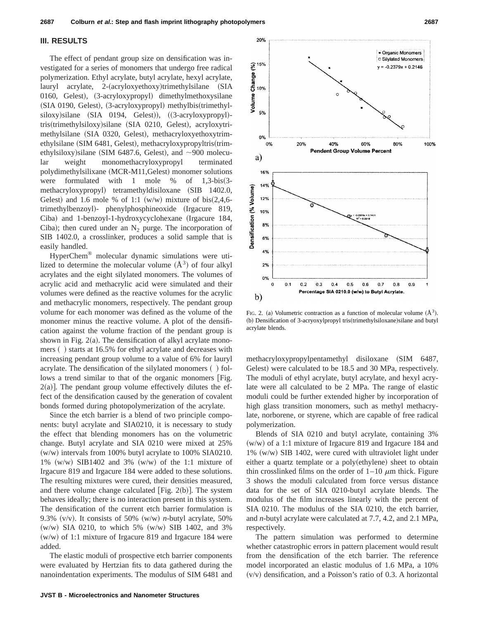#### **III. RESULTS**

The effect of pendant group size on densification was investigated for a series of monomers that undergo free radical polymerization. Ethyl acrylate, butyl acrylate, hexyl acrylate, lauryl acrylate, 2-(acryloxyethoxy)trimethylsilane (SIA 0160, Gelest),  $(3-acryloxypropyl)$  dimethylmethoxysilane  $(SIA~0190,~Gelest)$ ,  $(3-acryloxypropyl)$  methylbis $(trimethyl$ siloxy) silane (SIA 0194, Gelest)),  $((3-acryloxypropyl)$ tris(trimethylsiloxy)silane (SIA 0210, Gelest), acryloxytrimethylsilane (SIA 0320, Gelest), methacryloxyethoxytrimethylsilane (SIM 6481, Gelest), methacryloxypropyltris(trimethylsiloxy)silane (SIM 6487.6, Gelest), and  $\sim$ 900 molecular weight monomethacryloxypropyl terminated polydimethylsilixane (MCR-M11,Gelest) monomer solutions were formulated with 1 mole  $%$  of 1,3-bis(3methacryloxypropyl) tetramethyldisiloxane (SIB 1402.0, Gelest) and 1.6 mole % of 1:1  $(w/w)$  mixture of bis $(2,4,6$ trimethylbenzoyl)- phenylphosphineoxide (Irgacure 819, Ciba) and 1-benzoyl-1-hydroxycyclohexane (Irgacure 184, Ciba); then cured under an  $N_2$  purge. The incorporation of SIB 1402.0, a crosslinker, produces a solid sample that is easily handled.

HyperChem® molecular dynamic simulations were utilized to determine the molecular volume  $(A<sup>3</sup>)$  of four alkyl acrylates and the eight silylated monomers. The volumes of acrylic acid and methacrylic acid were simulated and their volumes were defined as the reactive volumes for the acrylic and methacrylic monomers, respectively. The pendant group volume for each monomer was defined as the volume of the monomer minus the reactive volume. A plot of the densification against the volume fraction of the pendant group is shown in Fig.  $2(a)$ . The densification of alkyl acrylate monomers () starts at 16.5% for ethyl acrylate and decreases with increasing pendant group volume to a value of 6% for lauryl acrylate. The densification of the silylated monomers () follows a trend similar to that of the organic monomers [Fig.  $2(a)$ ]. The pendant group volume effectively dilutes the effect of the densification caused by the generation of covalent bonds formed during photopolymerization of the acrylate.

Since the etch barrier is a blend of two principle components: butyl acrylate and SIA0210, it is necessary to study the effect that blending monomers has on the volumetric change. Butyl acrylate and SIA 0210 were mixed at 25%  $(w/w)$  intervals from 100% butyl acrylate to 100% SIA0210.  $1\%$  (w/w) SIB1402 and 3% (w/w) of the 1:1 mixture of Irgacure 819 and Irgacure 184 were added to these solutions. The resulting mixtures were cured, their densities measured, and there volume change calculated [Fig.  $2(b)$ ]. The system behaves ideally; there is no interaction present in this system. The densification of the current etch barrier formulation is 9.3%  $(v/v)$ . It consists of 50%  $(w/w)$  *n*-butyl acrylate, 50%  $(w/w)$  SIA 0210, to which 5%  $(w/w)$  SIB 1402, and 3%  $(w/w)$  of 1:1 mixture of Irgacure 819 and Irgacure 184 were added.

The elastic moduli of prospective etch barrier components were evaluated by Hertzian fits to data gathered during the nanoindentation experiments. The modulus of SIM 6481 and



FIG. 2. (a) Volumetric contraction as a function of molecular volume  $(\AA^3)$ . (b) Densification of 3-acryoxylpropyl tris(trimethylsiloxane)silane and butyl acrylate blends.

methacryloxypropylpentamethyl disiloxane (SIM 6487, Gelest) were calculated to be 18.5 and 30 MPa, respectively. The moduli of ethyl acrylate, butyl acrylate, and hexyl acrylate were all calculated to be 2 MPa. The range of elastic moduli could be further extended higher by incorporation of high glass transition monomers, such as methyl methacrylate, norborene, or styrene, which are capable of free radical polymerization.

Blends of SIA 0210 and butyl acrylate, containing 3%  $(w/w)$  of a 1:1 mixture of Irgacure 819 and Irgacure 184 and  $1\%$  (w/w) SIB 1402, were cured with ultraviolet light under either a quartz template or a poly(ethylene) sheet to obtain thin crosslinked films on the order of  $1-10 \mu m$  thick. Figure 3 shows the moduli calculated from force versus distance data for the set of SIA 0210-butyl acrylate blends. The modulus of the film increases linearly with the percent of SIA 0210. The modulus of the SIA 0210, the etch barrier, and *n*-butyl acrylate were calculated at 7.7, 4.2, and 2.1 MPa, respectively.

The pattern simulation was performed to determine whether catastrophic errors in pattern placement would result from the densification of the etch barrier. The reference model incorporated an elastic modulus of 1.6 MPa, a 10%  $(v/v)$  densification, and a Poisson's ratio of 0.3. A horizontal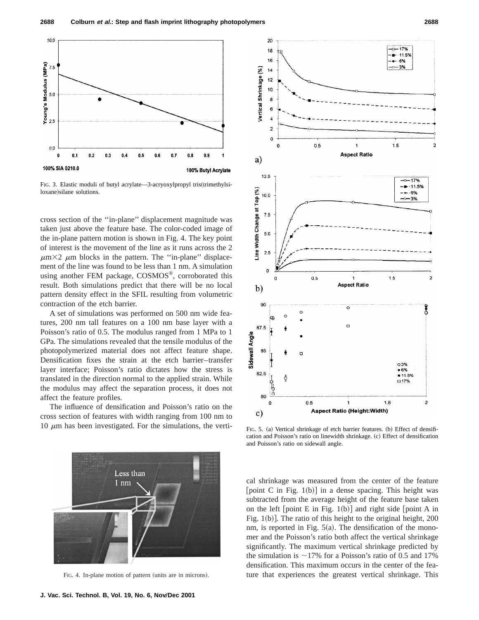

FIG. 3. Elastic moduli of butyl acrylate—3-acryoxylpropyl tris(trimethylsiloxane) silane solutions.

cross section of the ''in-plane'' displacement magnitude was taken just above the feature base. The color-coded image of the in-plane pattern motion is shown in Fig. 4. The key point of interest is the movement of the line as it runs across the 2  $\mu$ m×2  $\mu$ m blocks in the pattern. The "in-plane" displacement of the line was found to be less than 1 nm. A simulation using another FEM package, COSMOS®, corroborated this result. Both simulations predict that there will be no local pattern density effect in the SFIL resulting from volumetric contraction of the etch barrier.

A set of simulations was performed on 500 nm wide features, 200 nm tall features on a 100 nm base layer with a Poisson's ratio of 0.5. The modulus ranged from 1 MPa to 1 GPa. The simulations revealed that the tensile modulus of the photopolymerized material does not affect feature shape. Densification fixes the strain at the etch barrier–transfer layer interface; Poisson's ratio dictates how the stress is translated in the direction normal to the applied strain. While the modulus may affect the separation process, it does not affect the feature profiles.

The influence of densification and Poisson's ratio on the cross section of features with width ranging from 100 nm to 10  $\mu$ m has been investigated. For the simulations, the verti-



FIG. 4. In-plane motion of pattern (units are in microns).



FIG. 5. (a) Vertical shrinkage of etch barrier features. (b) Effect of densification and Poisson's ratio on linewidth shrinkage. (c) Effect of densification and Poisson's ratio on sidewall angle.

cal shrinkage was measured from the center of the feature [point C in Fig. 1(b)] in a dense spacing. This height was subtracted from the average height of the feature base taken on the left  $[point E in Fig. 1(b)]$  and right side  $[point A in$ Fig.  $1(b)$ . The ratio of this height to the original height, 200 nm, is reported in Fig.  $5(a)$ . The densification of the monomer and the Poisson's ratio both affect the vertical shrinkage significantly. The maximum vertical shrinkage predicted by the simulation is  $\sim$ 17% for a Poisson's ratio of 0.5 and 17% densification. This maximum occurs in the center of the feature that experiences the greatest vertical shrinkage. This